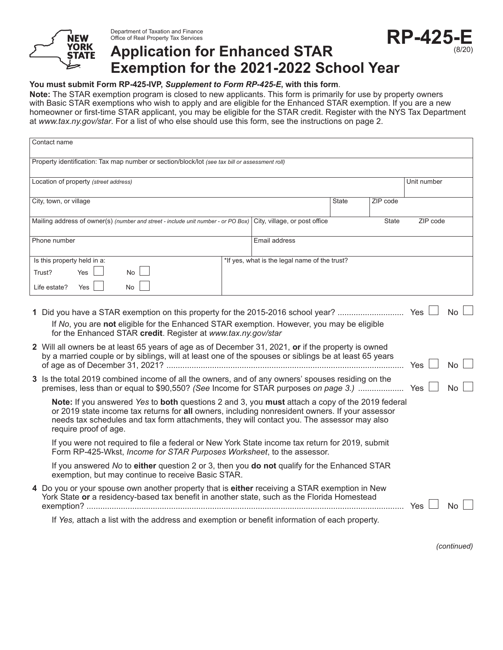

Department of Taxation and Finance Office of Real Property Tax Services

# **RP-425-E Application for Enhanced STAR Exemption for the 2021-2022 School Year**

#### **You must submit Form RP-425-IVP,** *Supplement to Form RP-425-E***, with this form**.

**Note:** The STAR exemption program is closed to new applicants. This form is primarily for use by property owners with Basic STAR exemptions who wish to apply and are eligible for the Enhanced STAR exemption. If you are a new homeowner or first-time STAR applicant, you may be eligible for the STAR credit. Register with the NYS Tax Department at *www.tax.ny.gov/star*. For a list of who else should use this form, see the instructions on page 2.

| Contact name                                                                                                                                                                                                                                                                                                              |                                               |              |          |             |           |  |
|---------------------------------------------------------------------------------------------------------------------------------------------------------------------------------------------------------------------------------------------------------------------------------------------------------------------------|-----------------------------------------------|--------------|----------|-------------|-----------|--|
| Property identification: Tax map number or section/block/lot (see tax bill or assessment roll)                                                                                                                                                                                                                            |                                               |              |          |             |           |  |
| Location of property (street address)                                                                                                                                                                                                                                                                                     |                                               |              |          | Unit number |           |  |
| City, town, or village                                                                                                                                                                                                                                                                                                    |                                               | <b>State</b> | ZIP code |             |           |  |
| Mailing address of owner(s) (number and street - include unit number - or PO Box) City, village, or post office                                                                                                                                                                                                           |                                               |              | State    | ZIP code    |           |  |
| Phone number                                                                                                                                                                                                                                                                                                              | Email address                                 |              |          |             |           |  |
| Is this property held in a:<br>Trust?<br>Yes<br><b>No</b><br>Yes<br><b>No</b><br>Life estate?                                                                                                                                                                                                                             | *If yes, what is the legal name of the trust? |              |          |             |           |  |
| <b>No</b><br>If No, you are not eligible for the Enhanced STAR exemption. However, you may be eligible<br>for the Enhanced STAR credit. Register at www.tax.ny.gov/star                                                                                                                                                   |                                               |              |          |             |           |  |
| 2 Will all owners be at least 65 years of age as of December 31, 2021, or if the property is owned<br>by a married couple or by siblings, will at least one of the spouses or siblings be at least 65 years                                                                                                               |                                               |              |          | <b>Yes</b>  | <b>No</b> |  |
| 3 Is the total 2019 combined income of all the owners, and of any owners' spouses residing on the                                                                                                                                                                                                                         |                                               |              |          |             | <b>No</b> |  |
| Note: If you answered Yes to both questions 2 and 3, you must attach a copy of the 2019 federal<br>or 2019 state income tax returns for all owners, including nonresident owners. If your assessor<br>needs tax schedules and tax form attachments, they will contact you. The assessor may also<br>require proof of age. |                                               |              |          |             |           |  |
| If you were not required to file a federal or New York State income tax return for 2019, submit<br>Form RP-425-Wkst, Income for STAR Purposes Worksheet, to the assessor.                                                                                                                                                 |                                               |              |          |             |           |  |
| If you answered No to either question 2 or 3, then you do not qualify for the Enhanced STAR<br>exemption, but may continue to receive Basic STAR.                                                                                                                                                                         |                                               |              |          |             |           |  |
| 4 Do you or your spouse own another property that is either receiving a STAR exemption in New<br>York State or a residency-based tax benefit in another state, such as the Florida Homestead<br>Yes<br>No                                                                                                                 |                                               |              |          |             |           |  |

If *Yes,* attach a list with the address and exemption or benefit information of each property.

*(continued)*

(8/20)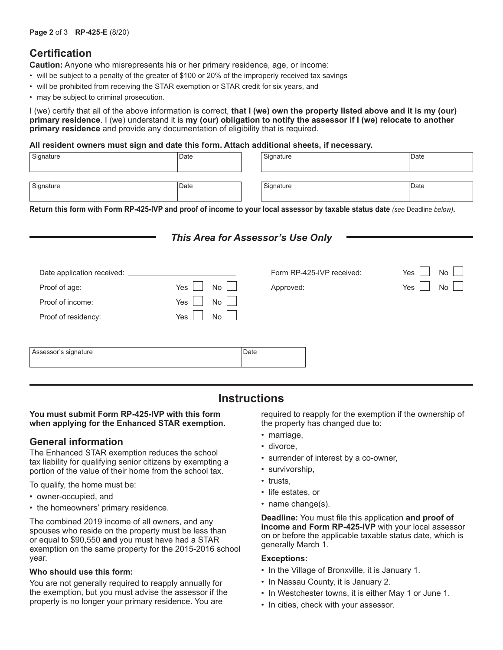## **Certification**

**Caution:** Anyone who misrepresents his or her primary residence, age, or income:

- will be subject to a penalty of the greater of \$100 or 20% of the improperly received tax savings
- will be prohibited from receiving the STAR exemption or STAR credit for six years, and
- may be subject to criminal prosecution.

I (we) certify that all of the above information is correct, **that I (we) own the property listed above and it is my (our) primary residence**. I (we) understand it is **my (our) obligation to notify the assessor if I (we) relocate to another primary residence** and provide any documentation of eligibility that is required.

#### **All resident owners must sign and date this form. Attach additional sheets, if necessary.**

| Signature | Date | Signature | Date |
|-----------|------|-----------|------|
| Signature | Date | Signature | Date |

**Return this form with Form RP-425-IVP and proof of income to your local assessor by taxable status date** *(see* Deadline *below)***.**

### *This Area for Assessor's Use Only*

| Date application received: |                  | Form RP-425-IVP received: | Yes<br>No |
|----------------------------|------------------|---------------------------|-----------|
| Proof of age:              | Yes<br><b>No</b> | Approved:                 | Yes<br>No |
| Proof of income:           | Yes<br>No        |                           |           |
| Proof of residency:        | Yes<br>No        |                           |           |
|                            |                  |                           |           |
| Assessor's signature       | Date             |                           |           |
|                            |                  |                           |           |

## **Instructions**

#### **You must submit Form RP-425-IVP with this form when applying for the Enhanced STAR exemption.**

### **General information**

The Enhanced STAR exemption reduces the school tax liability for qualifying senior citizens by exempting a portion of the value of their home from the school tax.

To qualify, the home must be:

- owner-occupied, and
- the homeowners' primary residence.

The combined 2019 income of all owners, and any spouses who reside on the property must be less than or equal to \$90,550 **and** you must have had a STAR exemption on the same property for the 2015-2016 school year.

#### **Who should use this form:**

You are not generally required to reapply annually for the exemption, but you must advise the assessor if the property is no longer your primary residence. You are

required to reapply for the exemption if the ownership of the property has changed due to:

- marriage,
- divorce,
- surrender of interest by a co-owner,
- survivorship,
- trusts,
- life estates, or
- name change(s).

**Deadline:** You must file this application **and proof of income and Form RP-425-IVP** with your local assessor on or before the applicable taxable status date, which is generally March 1.

#### **Exceptions:**

- In the Village of Bronxville, it is January 1.
- In Nassau County, it is January 2.
- In Westchester towns, it is either May 1 or June 1.
- In cities, check with your assessor.